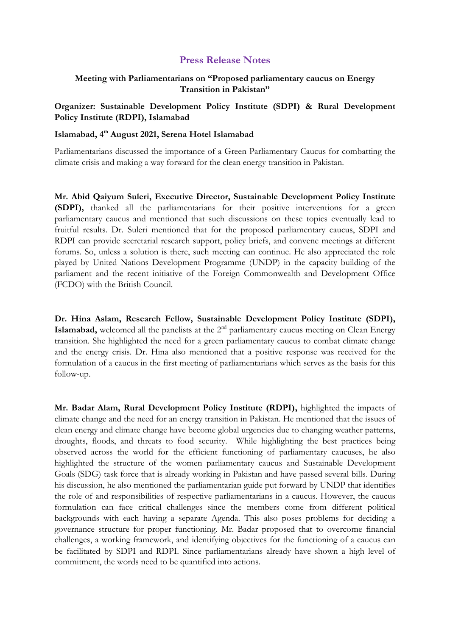## **Press Release Notes**

## **Meeting with Parliamentarians on "Proposed parliamentary caucus on Energy Transition in Pakistan"**

**Organizer: Sustainable Development Policy Institute (SDPI) & Rural Development Policy Institute (RDPI), Islamabad**

## **Islamabad, 4 th August 2021, Serena Hotel Islamabad**

Parliamentarians discussed the importance of a Green Parliamentary Caucus for combatting the climate crisis and making a way forward for the clean energy transition in Pakistan.

**Mr. Abid Qaiyum Suleri, Executive Director, Sustainable Development Policy Institute (SDPI),** thanked all the parliamentarians for their positive interventions for a green parliamentary caucus and mentioned that such discussions on these topics eventually lead to fruitful results. Dr. Suleri mentioned that for the proposed parliamentary caucus, SDPI and RDPI can provide secretarial research support, policy briefs, and convene meetings at different forums. So, unless a solution is there, such meeting can continue. He also appreciated the role played by United Nations Development Programme (UNDP) in the capacity building of the parliament and the recent initiative of the Foreign Commonwealth and Development Office (FCDO) with the British Council.

**Dr. Hina Aslam, Research Fellow, Sustainable Development Policy Institute (SDPI),**  Islamabad, welcomed all the panelists at the 2<sup>nd</sup> parliamentary caucus meeting on Clean Energy transition. She highlighted the need for a green parliamentary caucus to combat climate change and the energy crisis. Dr. Hina also mentioned that a positive response was received for the formulation of a caucus in the first meeting of parliamentarians which serves as the basis for this follow-up.

**Mr. Badar Alam, Rural Development Policy Institute (RDPI),** highlighted the impacts of climate change and the need for an energy transition in Pakistan. He mentioned that the issues of clean energy and climate change have become global urgencies due to changing weather patterns, droughts, floods, and threats to food security. While highlighting the best practices being observed across the world for the efficient functioning of parliamentary caucuses, he also highlighted the structure of the women parliamentary caucus and Sustainable Development Goals (SDG) task force that is already working in Pakistan and have passed several bills. During his discussion, he also mentioned the parliamentarian guide put forward by UNDP that identifies the role of and responsibilities of respective parliamentarians in a caucus. However, the caucus formulation can face critical challenges since the members come from different political backgrounds with each having a separate Agenda. This also poses problems for deciding a governance structure for proper functioning. Mr. Badar proposed that to overcome financial challenges, a working framework, and identifying objectives for the functioning of a caucus can be facilitated by SDPI and RDPI. Since parliamentarians already have shown a high level of commitment, the words need to be quantified into actions.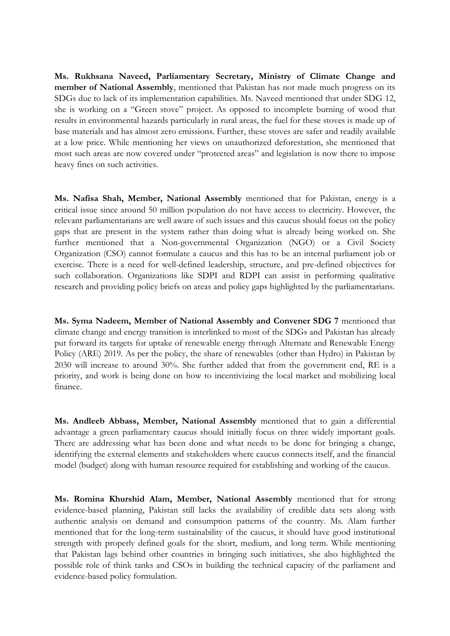**Ms. Rukhsana Naveed, Parliamentary Secretary, Ministry of Climate Change and member of National Assembly**, mentioned that Pakistan has not made much progress on its SDGs due to lack of its implementation capabilities. Ms. Naveed mentioned that under SDG 12, she is working on a "Green stove" project. As opposed to incomplete burning of wood that results in environmental hazards particularly in rural areas, the fuel for these stoves is made up of base materials and has almost zero emissions. Further, these stoves are safer and readily available at a low price. While mentioning her views on unauthorized deforestation, she mentioned that most such areas are now covered under "protected areas" and legislation is now there to impose heavy fines on such activities.

**Ms. Nafisa Shah, Member, National Assembly** mentioned that for Pakistan, energy is a critical issue since around 50 million population do not have access to electricity. However, the relevant parliamentarians are well aware of such issues and this caucus should focus on the policy gaps that are present in the system rather than doing what is already being worked on. She further mentioned that a Non-governmental Organization (NGO) or a Civil Society Organization (CSO) cannot formulate a caucus and this has to be an internal parliament job or exercise. There is a need for well-defined leadership, structure, and pre-defined objectives for such collaboration. Organizations like SDPI and RDPI can assist in performing qualitative research and providing policy briefs on areas and policy gaps highlighted by the parliamentarians.

**Ms. Syma Nadeem, Member of National Assembly and Convener SDG 7** mentioned that climate change and energy transition is interlinked to most of the SDGs and Pakistan has already put forward its targets for uptake of renewable energy through Alternate and Renewable Energy Policy (ARE) 2019. As per the policy, the share of renewables (other than Hydro) in Pakistan by 2030 will increase to around 30%. She further added that from the government end, RE is a priority, and work is being done on how to incentivizing the local market and mobilizing local finance.

**Ms. Andleeb Abbass, Member, National Assembly** mentioned that to gain a differential advantage a green parliamentary caucus should initially focus on three widely important goals. There are addressing what has been done and what needs to be done for bringing a change, identifying the external elements and stakeholders where caucus connects itself, and the financial model (budget) along with human resource required for establishing and working of the caucus.

**Ms. Romina Khurshid Alam, Member, National Assembly** mentioned that for strong evidence-based planning, Pakistan still lacks the availability of credible data sets along with authentic analysis on demand and consumption patterns of the country. Ms. Alam further mentioned that for the long-term sustainability of the caucus, it should have good institutional strength with properly defined goals for the short, medium, and long term. While mentioning that Pakistan lags behind other countries in bringing such initiatives, she also highlighted the possible role of think tanks and CSOs in building the technical capacity of the parliament and evidence-based policy formulation.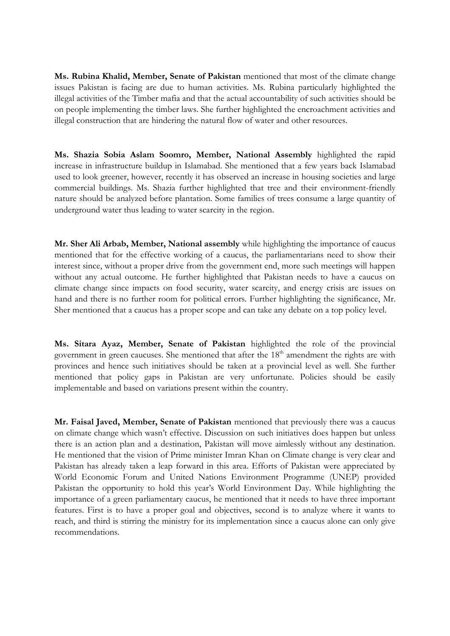**Ms. Rubina Khalid, Member, Senate of Pakistan** mentioned that most of the climate change issues Pakistan is facing are due to human activities. Ms. Rubina particularly highlighted the illegal activities of the Timber mafia and that the actual accountability of such activities should be on people implementing the timber laws. She further highlighted the encroachment activities and illegal construction that are hindering the natural flow of water and other resources.

**Ms. Shazia Sobia Aslam Soomro, Member, National Assembly** highlighted the rapid increase in infrastructure buildup in Islamabad. She mentioned that a few years back Islamabad used to look greener, however, recently it has observed an increase in housing societies and large commercial buildings. Ms. Shazia further highlighted that tree and their environment-friendly nature should be analyzed before plantation. Some families of trees consume a large quantity of underground water thus leading to water scarcity in the region.

**Mr. Sher Ali Arbab, Member, National assembly** while highlighting the importance of caucus mentioned that for the effective working of a caucus, the parliamentarians need to show their interest since, without a proper drive from the government end, more such meetings will happen without any actual outcome. He further highlighted that Pakistan needs to have a caucus on climate change since impacts on food security, water scarcity, and energy crisis are issues on hand and there is no further room for political errors. Further highlighting the significance, Mr. Sher mentioned that a caucus has a proper scope and can take any debate on a top policy level.

**Ms. Sitara Ayaz, Member, Senate of Pakistan** highlighted the role of the provincial government in green caucuses. She mentioned that after the 18<sup>th</sup> amendment the rights are with provinces and hence such initiatives should be taken at a provincial level as well. She further mentioned that policy gaps in Pakistan are very unfortunate. Policies should be easily implementable and based on variations present within the country.

**Mr. Faisal Javed, Member, Senate of Pakistan** mentioned that previously there was a caucus on climate change which wasn't effective. Discussion on such initiatives does happen but unless there is an action plan and a destination, Pakistan will move aimlessly without any destination. He mentioned that the vision of Prime minister Imran Khan on Climate change is very clear and Pakistan has already taken a leap forward in this area. Efforts of Pakistan were appreciated by World Economic Forum and United Nations Environment Programme (UNEP) provided Pakistan the opportunity to hold this year's World Environment Day. While highlighting the importance of a green parliamentary caucus, he mentioned that it needs to have three important features. First is to have a proper goal and objectives, second is to analyze where it wants to reach, and third is stirring the ministry for its implementation since a caucus alone can only give recommendations.